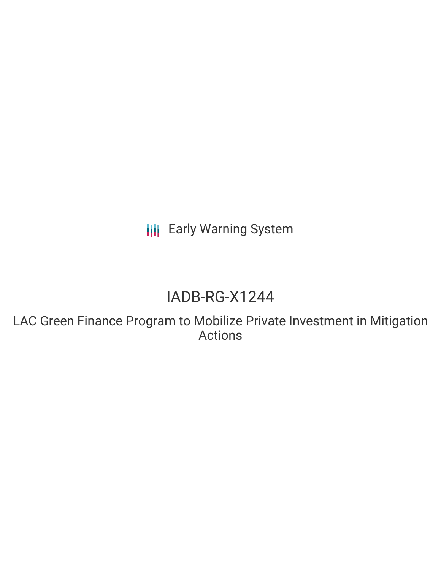**III** Early Warning System

# IADB-RG-X1244

LAC Green Finance Program to Mobilize Private Investment in Mitigation Actions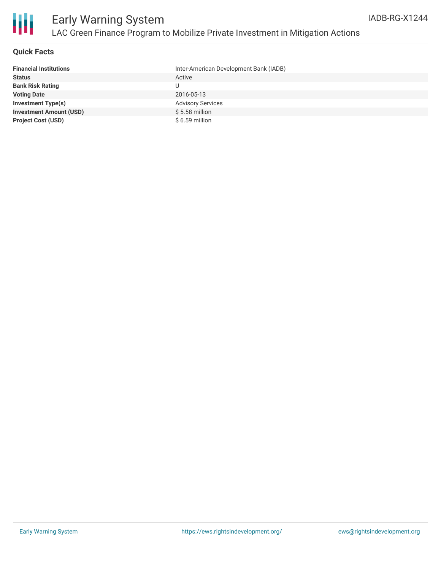

## **Quick Facts**

| <b>Financial Institutions</b>  | Inter-American Development Bank (IADB) |
|--------------------------------|----------------------------------------|
| <b>Status</b>                  | Active                                 |
| <b>Bank Risk Rating</b>        | U                                      |
| <b>Voting Date</b>             | 2016-05-13                             |
| <b>Investment Type(s)</b>      | <b>Advisory Services</b>               |
| <b>Investment Amount (USD)</b> | $$5.58$ million                        |
| <b>Project Cost (USD)</b>      | $$6.59$ million                        |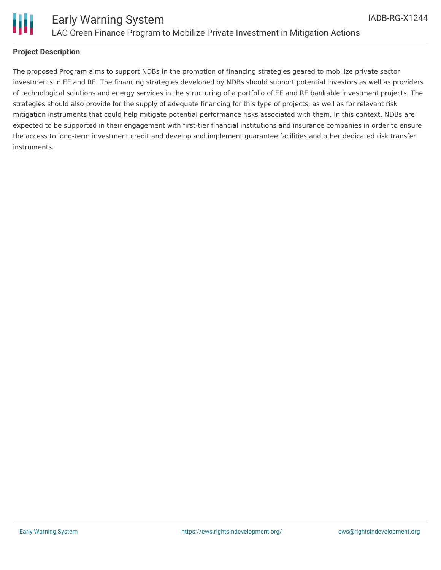

## **Project Description**

The proposed Program aims to support NDBs in the promotion of financing strategies geared to mobilize private sector investments in EE and RE. The financing strategies developed by NDBs should support potential investors as well as providers of technological solutions and energy services in the structuring of a portfolio of EE and RE bankable investment projects. The strategies should also provide for the supply of adequate financing for this type of projects, as well as for relevant risk mitigation instruments that could help mitigate potential performance risks associated with them. In this context, NDBs are expected to be supported in their engagement with first-tier financial institutions and insurance companies in order to ensure the access to long-term investment credit and develop and implement guarantee facilities and other dedicated risk transfer instruments.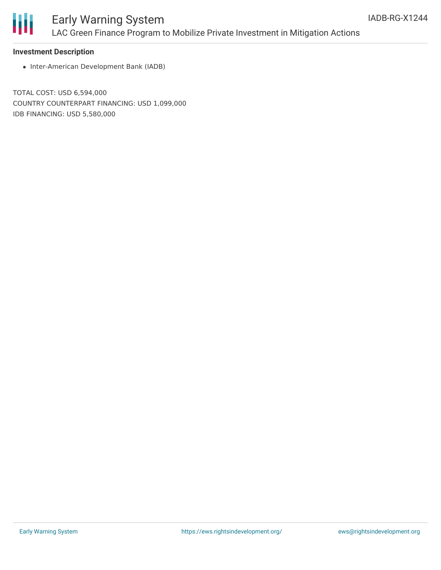

## Early Warning System LAC Green Finance Program to Mobilize Private Investment in Mitigation Actions

### **Investment Description**

• Inter-American Development Bank (IADB)

TOTAL COST: USD 6,594,000 COUNTRY COUNTERPART FINANCING: USD 1,099,000 IDB FINANCING: USD 5,580,000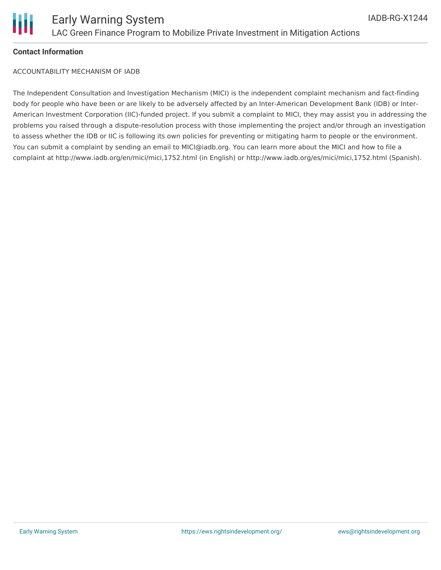

## **Contact Information**

ACCOUNTABILITY MECHANISM OF IADB

The Independent Consultation and Investigation Mechanism (MICI) is the independent complaint mechanism and fact-finding body for people who have been or are likely to be adversely affected by an Inter-American Development Bank (IDB) or Inter-American Investment Corporation (IIC)-funded project. If you submit a complaint to MICI, they may assist you in addressing the problems you raised through a dispute-resolution process with those implementing the project and/or through an investigation to assess whether the IDB or IIC is following its own policies for preventing or mitigating harm to people or the environment. You can submit a complaint by sending an email to MICI@iadb.org. You can learn more about the MICI and how to file a complaint at http://www.iadb.org/en/mici/mici,1752.html (in English) or http://www.iadb.org/es/mici/mici,1752.html (Spanish).